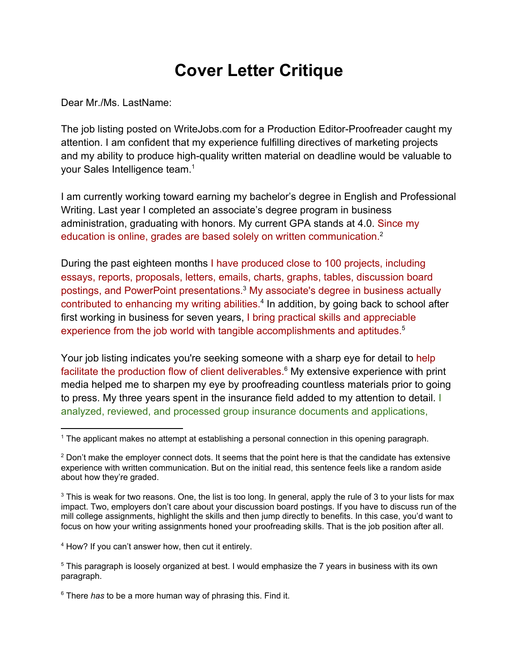## **Cover Letter Critique**

Dear Mr./Ms. LastName:

The job listing posted on WriteJobs.com for a Production Editor-Proofreader caught my attention. I am confident that my experience fulfilling directives of marketing projects and my ability to produce high-quality written material on deadline would be valuable to your Sales Intelligence team.<sup>1</sup>

I am currently working toward earning my bachelor's degree in English and Professional Writing. Last year I completed an associate's degree program in business administration, graduating with honors. My current GPA stands at 4.0. Since my education is online, grades are based solely on written communication.<sup>2</sup>

During the past eighteen months I have produced close to 100 projects, including essays, reports, proposals, letters, emails, charts, graphs, tables, discussion board postings, and PowerPoint presentations.<sup>3</sup> My associate's degree in business actually contributed to enhancing my writing abilities.<sup>4</sup> In addition, by going back to school after first working in business for seven years, I bring practical skills and appreciable experience from the job world with tangible accomplishments and aptitudes.<sup>5</sup>

Your job listing indicates you're seeking someone with a sharp eye for detail to help facilitate the production flow of client deliverables.<sup>6</sup> My extensive experience with print media helped me to sharpen my eye by proofreading countless materials prior to going to press. My three years spent in the insurance field added to my attention to detail. I analyzed, reviewed, and processed group insurance documents and applications,

<sup>4</sup> How? If you can't answer how, then cut it entirely.

<sup>6</sup> There *has* to be a more human way of phrasing this. Find it.

<sup>&</sup>lt;sup>1</sup> The applicant makes no attempt at establishing a personal connection in this opening paragraph.

<sup>&</sup>lt;sup>2</sup> Don't make the employer connect dots. It seems that the point here is that the candidate has extensive experience with written communication. But on the initial read, this sentence feels like a random aside about how they're graded.

 $3$  This is weak for two reasons. One, the list is too long. In general, apply the rule of 3 to your lists for max impact. Two, employers don't care about your discussion board postings. If you have to discuss run of the mill college assignments, highlight the skills and then jump directly to benefits. In this case, you'd want to focus on how your writing assignments honed your proofreading skills. That is the job position after all.

<sup>5</sup> This paragraph is loosely organized at best. I would emphasize the 7 years in business with its own paragraph.